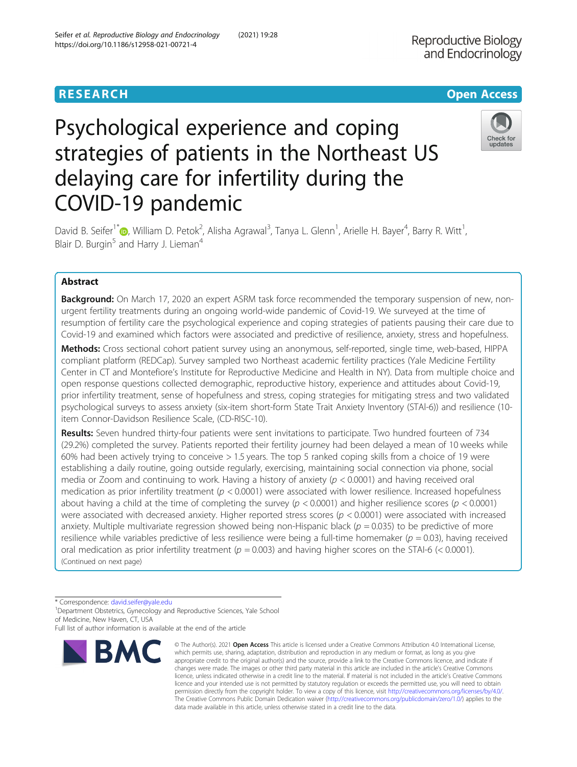**Reproductive Biology** and Endocrinology

# Psychological experience and coping strategies of patients in the Northeast US delaying care for infertility during the COVID-19 pandemic



David B. Seifer<sup>1[\\*](http://orcid.org/0000-0003-3950-9341)</sup>®, William D. Petok<sup>2</sup>, Alisha Agrawal<sup>3</sup>, Tanya L. Glenn<sup>1</sup>, Arielle H. Bayer<sup>4</sup>, Barry R. Witt<sup>1</sup> , Blair D. Burgin<sup>5</sup> and Harry J. Lieman<sup>4</sup>

# Abstract

**Background:** On March 17, 2020 an expert ASRM task force recommended the temporary suspension of new, nonurgent fertility treatments during an ongoing world-wide pandemic of Covid-19. We surveyed at the time of resumption of fertility care the psychological experience and coping strategies of patients pausing their care due to Covid-19 and examined which factors were associated and predictive of resilience, anxiety, stress and hopefulness.

Methods: Cross sectional cohort patient survey using an anonymous, self-reported, single time, web-based, HIPPA compliant platform (REDCap). Survey sampled two Northeast academic fertility practices (Yale Medicine Fertility Center in CT and Montefiore's Institute for Reproductive Medicine and Health in NY). Data from multiple choice and open response questions collected demographic, reproductive history, experience and attitudes about Covid-19, prior infertility treatment, sense of hopefulness and stress, coping strategies for mitigating stress and two validated psychological surveys to assess anxiety (six-item short-form State Trait Anxiety Inventory (STAl-6)) and resilience (10 item Connor-Davidson Resilience Scale, (CD-RISC-10).

Results: Seven hundred thirty-four patients were sent invitations to participate. Two hundred fourteen of 734 (29.2%) completed the survey. Patients reported their fertility journey had been delayed a mean of 10 weeks while 60% had been actively trying to conceive > 1.5 years. The top 5 ranked coping skills from a choice of 19 were establishing a daily routine, going outside regularly, exercising, maintaining social connection via phone, social media or Zoom and continuing to work. Having a history of anxiety  $(p < 0.0001)$  and having received oral medication as prior infertility treatment ( $p < 0.0001$ ) were associated with lower resilience. Increased hopefulness about having a child at the time of completing the survey ( $p < 0.0001$ ) and higher resilience scores ( $p < 0.0001$ ) were associated with decreased anxiety. Higher reported stress scores ( $p < 0.0001$ ) were associated with increased anxiety. Multiple multivariate regression showed being non-Hispanic black ( $p = 0.035$ ) to be predictive of more resilience while variables predictive of less resilience were being a full-time homemaker ( $p = 0.03$ ), having received oral medication as prior infertility treatment ( $p = 0.003$ ) and having higher scores on the STAI-6 (< 0.0001). (Continued on next page)

\* Correspondence: [david.seifer@yale.edu](mailto:david.seifer@yale.edu) <sup>1</sup>

<sup>1</sup>Department Obstetrics, Gynecology and Reproductive Sciences, Yale School of Medicine, New Haven, CT, USA

Full list of author information is available at the end of the article



<sup>©</sup> The Author(s), 2021 **Open Access** This article is licensed under a Creative Commons Attribution 4.0 International License, which permits use, sharing, adaptation, distribution and reproduction in any medium or format, as long as you give appropriate credit to the original author(s) and the source, provide a link to the Creative Commons licence, and indicate if changes were made. The images or other third party material in this article are included in the article's Creative Commons licence, unless indicated otherwise in a credit line to the material. If material is not included in the article's Creative Commons licence and your intended use is not permitted by statutory regulation or exceeds the permitted use, you will need to obtain permission directly from the copyright holder. To view a copy of this licence, visit [http://creativecommons.org/licenses/by/4.0/.](http://creativecommons.org/licenses/by/4.0/) The Creative Commons Public Domain Dedication waiver [\(http://creativecommons.org/publicdomain/zero/1.0/](http://creativecommons.org/publicdomain/zero/1.0/)) applies to the data made available in this article, unless otherwise stated in a credit line to the data.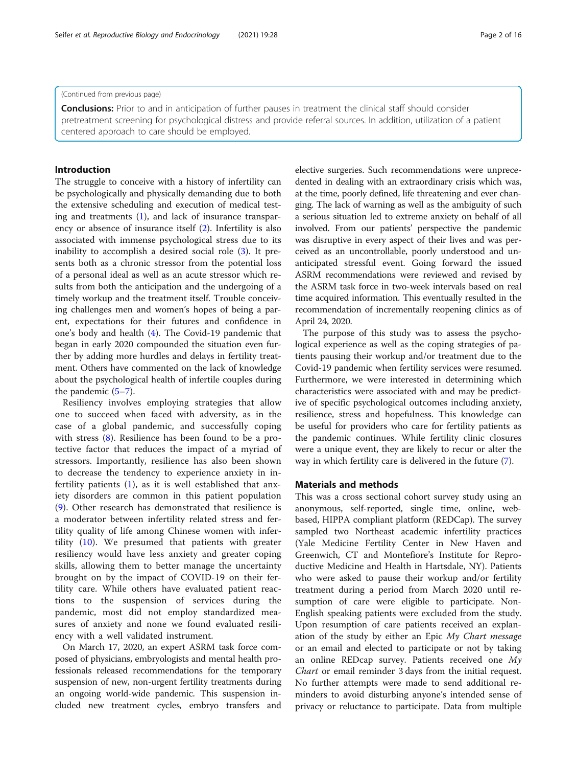## (Continued from previous page)

**Conclusions:** Prior to and in anticipation of further pauses in treatment the clinical staff should consider pretreatment screening for psychological distress and provide referral sources. In addition, utilization of a patient centered approach to care should be employed.

# Introduction

The struggle to conceive with a history of infertility can be psychologically and physically demanding due to both the extensive scheduling and execution of medical testing and treatments ([1\)](#page-14-0), and lack of insurance transparency or absence of insurance itself ([2\)](#page-14-0). Infertility is also associated with immense psychological stress due to its inability to accomplish a desired social role ([3](#page-14-0)). It presents both as a chronic stressor from the potential loss of a personal ideal as well as an acute stressor which results from both the anticipation and the undergoing of a timely workup and the treatment itself. Trouble conceiving challenges men and women's hopes of being a parent, expectations for their futures and confidence in one's body and health ([4\)](#page-14-0). The Covid-19 pandemic that began in early 2020 compounded the situation even further by adding more hurdles and delays in fertility treatment. Others have commented on the lack of knowledge about the psychological health of infertile couples during the pandemic [\(5](#page-14-0)–[7](#page-14-0)).

Resiliency involves employing strategies that allow one to succeed when faced with adversity, as in the case of a global pandemic, and successfully coping with stress [\(8](#page-14-0)). Resilience has been found to be a protective factor that reduces the impact of a myriad of stressors. Importantly, resilience has also been shown to decrease the tendency to experience anxiety in infertility patients ([1\)](#page-14-0), as it is well established that anxiety disorders are common in this patient population ([9\)](#page-14-0). Other research has demonstrated that resilience is a moderator between infertility related stress and fertility quality of life among Chinese women with infertility [\(10](#page-14-0)). We presumed that patients with greater resiliency would have less anxiety and greater coping skills, allowing them to better manage the uncertainty brought on by the impact of COVID-19 on their fertility care. While others have evaluated patient reactions to the suspension of services during the pandemic, most did not employ standardized measures of anxiety and none we found evaluated resiliency with a well validated instrument.

On March 17, 2020, an expert ASRM task force composed of physicians, embryologists and mental health professionals released recommendations for the temporary suspension of new, non-urgent fertility treatments during an ongoing world-wide pandemic. This suspension included new treatment cycles, embryo transfers and elective surgeries. Such recommendations were unprecedented in dealing with an extraordinary crisis which was, at the time, poorly defined, life threatening and ever changing. The lack of warning as well as the ambiguity of such a serious situation led to extreme anxiety on behalf of all involved. From our patients' perspective the pandemic was disruptive in every aspect of their lives and was perceived as an uncontrollable, poorly understood and unanticipated stressful event. Going forward the issued ASRM recommendations were reviewed and revised by the ASRM task force in two-week intervals based on real time acquired information. This eventually resulted in the recommendation of incrementally reopening clinics as of April 24, 2020.

The purpose of this study was to assess the psychological experience as well as the coping strategies of patients pausing their workup and/or treatment due to the Covid-19 pandemic when fertility services were resumed. Furthermore, we were interested in determining which characteristics were associated with and may be predictive of specific psychological outcomes including anxiety, resilience, stress and hopefulness. This knowledge can be useful for providers who care for fertility patients as the pandemic continues. While fertility clinic closures were a unique event, they are likely to recur or alter the way in which fertility care is delivered in the future [\(7](#page-14-0)).

## Materials and methods

This was a cross sectional cohort survey study using an anonymous, self-reported, single time, online, webbased, HIPPA compliant platform (REDCap). The survey sampled two Northeast academic infertility practices (Yale Medicine Fertility Center in New Haven and Greenwich, CT and Montefiore's Institute for Reproductive Medicine and Health in Hartsdale, NY). Patients who were asked to pause their workup and/or fertility treatment during a period from March 2020 until resumption of care were eligible to participate. Non-English speaking patients were excluded from the study. Upon resumption of care patients received an explanation of the study by either an Epic My Chart message or an email and elected to participate or not by taking an online REDcap survey. Patients received one My Chart or email reminder 3 days from the initial request. No further attempts were made to send additional reminders to avoid disturbing anyone's intended sense of privacy or reluctance to participate. Data from multiple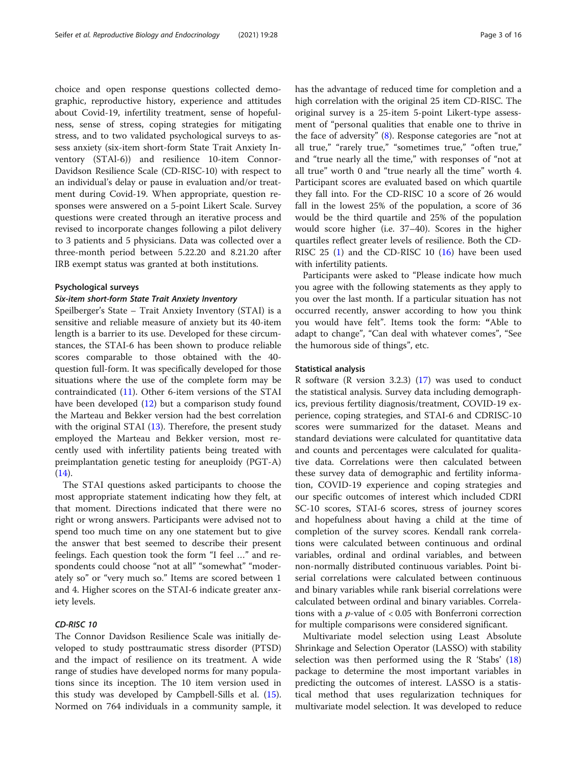choice and open response questions collected demographic, reproductive history, experience and attitudes about Covid-19, infertility treatment, sense of hopefulness, sense of stress, coping strategies for mitigating stress, and to two validated psychological surveys to assess anxiety (six-item short-form State Trait Anxiety Inventory (STAl-6)) and resilience 10-item Connor-Davidson Resilience Scale (CD-RISC-10) with respect to an individual's delay or pause in evaluation and/or treatment during Covid-19. When appropriate, question responses were answered on a 5-point Likert Scale. Survey questions were created through an iterative process and revised to incorporate changes following a pilot delivery to 3 patients and 5 physicians. Data was collected over a three-month period between 5.22.20 and 8.21.20 after IRB exempt status was granted at both institutions.

## Psychological surveys

# Six-item short-form State Trait Anxiety Inventory

Speilberger's State – Trait Anxiety Inventory (STAI) is a sensitive and reliable measure of anxiety but its 40-item length is a barrier to its use. Developed for these circumstances, the STAI-6 has been shown to produce reliable scores comparable to those obtained with the 40 question full-form. It was specifically developed for those situations where the use of the complete form may be contraindicated ([11\)](#page-14-0). Other 6-item versions of the STAI have been developed ([12\)](#page-14-0) but a comparison study found the Marteau and Bekker version had the best correlation with the original STAI ([13\)](#page-14-0). Therefore, the present study employed the Marteau and Bekker version, most recently used with infertility patients being treated with preimplantation genetic testing for aneuploidy (PGT-A)  $(14)$  $(14)$ .

The STAI questions asked participants to choose the most appropriate statement indicating how they felt, at that moment. Directions indicated that there were no right or wrong answers. Participants were advised not to spend too much time on any one statement but to give the answer that best seemed to describe their present feelings. Each question took the form "I feel …" and respondents could choose "not at all" "somewhat" "moderately so" or "very much so." Items are scored between 1 and 4. Higher scores on the STAI-6 indicate greater anxiety levels.

# CD-RISC 10

The Connor Davidson Resilience Scale was initially developed to study posttraumatic stress disorder (PTSD) and the impact of resilience on its treatment. A wide range of studies have developed norms for many populations since its inception. The 10 item version used in this study was developed by Campbell-Sills et al. [\(15](#page-14-0)). Normed on 764 individuals in a community sample, it has the advantage of reduced time for completion and a high correlation with the original 25 item CD-RISC. The original survey is a 25-item 5-point Likert-type assessment of "personal qualities that enable one to thrive in the face of adversity" ([8\)](#page-14-0). Response categories are "not at all true," "rarely true," "sometimes true," "often true," and "true nearly all the time," with responses of "not at all true" worth 0 and "true nearly all the time" worth 4. Participant scores are evaluated based on which quartile they fall into. For the CD-RISC 10 a score of 26 would fall in the lowest 25% of the population, a score of 36 would be the third quartile and 25% of the population would score higher (i.e. 37–40). Scores in the higher quartiles reflect greater levels of resilience. Both the CD-RISC 25 [\(1](#page-14-0)) and the CD-RISC 10 [\(16\)](#page-14-0) have been used with infertility patients.

Participants were asked to "Please indicate how much you agree with the following statements as they apply to you over the last month. If a particular situation has not occurred recently, answer according to how you think you would have felt". Items took the form: "Able to adapt to change", "Can deal with whatever comes", "See the humorous side of things", etc.

## Statistical analysis

R software (R version 3.2.3) [\(17\)](#page-15-0) was used to conduct the statistical analysis. Survey data including demographics, previous fertility diagnosis/treatment, COVID-19 experience, coping strategies, and STAI-6 and CDRISC-10 scores were summarized for the dataset. Means and standard deviations were calculated for quantitative data and counts and percentages were calculated for qualitative data. Correlations were then calculated between these survey data of demographic and fertility information, COVID-19 experience and coping strategies and our specific outcomes of interest which included CDRI SC-10 scores, STAI-6 scores, stress of journey scores and hopefulness about having a child at the time of completion of the survey scores. Kendall rank correlations were calculated between continuous and ordinal variables, ordinal and ordinal variables, and between non-normally distributed continuous variables. Point biserial correlations were calculated between continuous and binary variables while rank biserial correlations were calculated between ordinal and binary variables. Correlations with a  $p$ -value of  $< 0.05$  with Bonferroni correction for multiple comparisons were considered significant.

Multivariate model selection using Least Absolute Shrinkage and Selection Operator (LASSO) with stability selection was then performed using the R 'Stabs' ([18](#page-15-0)) package to determine the most important variables in predicting the outcomes of interest. LASSO is a statistical method that uses regularization techniques for multivariate model selection. It was developed to reduce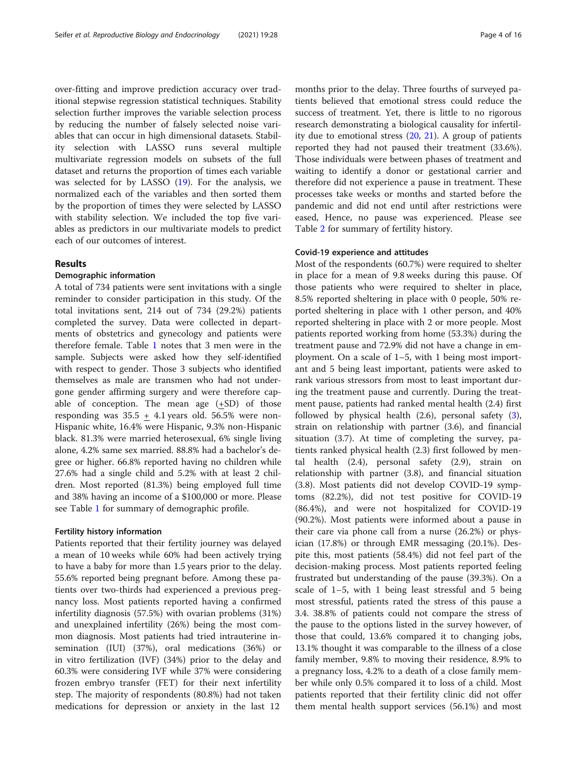over-fitting and improve prediction accuracy over traditional stepwise regression statistical techniques. Stability selection further improves the variable selection process by reducing the number of falsely selected noise variables that can occur in high dimensional datasets. Stability selection with LASSO runs several multiple multivariate regression models on subsets of the full dataset and returns the proportion of times each variable was selected for by LASSO ([19\)](#page-15-0). For the analysis, we normalized each of the variables and then sorted them by the proportion of times they were selected by LASSO with stability selection. We included the top five variables as predictors in our multivariate models to predict each of our outcomes of interest.

# Results

# Demographic information

A total of 734 patients were sent invitations with a single reminder to consider participation in this study. Of the total invitations sent, 214 out of 734 (29.2%) patients completed the survey. Data were collected in departments of obstetrics and gynecology and patients were therefore female. Table [1](#page-4-0) notes that 3 men were in the sample. Subjects were asked how they self-identified with respect to gender. Those 3 subjects who identified themselves as male are transmen who had not undergone gender affirming surgery and were therefore capable of conception. The mean age (+SD) of those responding was  $35.5 + 4.1$  years old. 56.5% were non-Hispanic white, 16.4% were Hispanic, 9.3% non-Hispanic black. 81.3% were married heterosexual, 6% single living alone, 4.2% same sex married. 88.8% had a bachelor's degree or higher. 66.8% reported having no children while 27.6% had a single child and 5.2% with at least 2 children. Most reported (81.3%) being employed full time and 38% having an income of a \$100,000 or more. Please see Table [1](#page-4-0) for summary of demographic profile.

# Fertility history information

Patients reported that their fertility journey was delayed a mean of 10 weeks while 60% had been actively trying to have a baby for more than 1.5 years prior to the delay. 55.6% reported being pregnant before. Among these patients over two-thirds had experienced a previous pregnancy loss. Most patients reported having a confirmed infertility diagnosis (57.5%) with ovarian problems (31%) and unexplained infertility (26%) being the most common diagnosis. Most patients had tried intrauterine insemination (IUI) (37%), oral medications (36%) or in vitro fertilization (IVF) (34%) prior to the delay and 60.3% were considering IVF while 37% were considering frozen embryo transfer (FET) for their next infertility step. The majority of respondents (80.8%) had not taken medications for depression or anxiety in the last 12

months prior to the delay. Three fourths of surveyed patients believed that emotional stress could reduce the success of treatment. Yet, there is little to no rigorous research demonstrating a biological causality for infertility due to emotional stress ([20](#page-15-0), [21\)](#page-15-0). A group of patients reported they had not paused their treatment (33.6%). Those individuals were between phases of treatment and waiting to identify a donor or gestational carrier and therefore did not experience a pause in treatment. These processes take weeks or months and started before the pandemic and did not end until after restrictions were eased, Hence, no pause was experienced. Please see Table [2](#page-6-0) for summary of fertility history.

# Covid-19 experience and attitudes

Most of the respondents (60.7%) were required to shelter in place for a mean of 9.8 weeks during this pause. Of those patients who were required to shelter in place, 8.5% reported sheltering in place with 0 people, 50% reported sheltering in place with 1 other person, and 40% reported sheltering in place with 2 or more people. Most patients reported working from home (53.3%) during the treatment pause and 72.9% did not have a change in employment. On a scale of 1–5, with 1 being most important and 5 being least important, patients were asked to rank various stressors from most to least important during the treatment pause and currently. During the treatment pause, patients had ranked mental health (2.4) first followed by physical health (2.6), personal safety [\(3](#page-14-0)), strain on relationship with partner (3.6), and financial situation (3.7). At time of completing the survey, patients ranked physical health (2.3) first followed by mental health (2.4), personal safety (2.9), strain on relationship with partner (3.8), and financial situation (3.8). Most patients did not develop COVID-19 symptoms (82.2%), did not test positive for COVID-19 (86.4%), and were not hospitalized for COVID-19 (90.2%). Most patients were informed about a pause in their care via phone call from a nurse (26.2%) or physician (17.8%) or through EMR messaging (20.1%). Despite this, most patients (58.4%) did not feel part of the decision-making process. Most patients reported feeling frustrated but understanding of the pause (39.3%). On a scale of 1–5, with 1 being least stressful and 5 being most stressful, patients rated the stress of this pause a 3.4. 38.8% of patients could not compare the stress of the pause to the options listed in the survey however, of those that could, 13.6% compared it to changing jobs, 13.1% thought it was comparable to the illness of a close family member, 9.8% to moving their residence, 8.9% to a pregnancy loss, 4.2% to a death of a close family member while only 0.5% compared it to loss of a child. Most patients reported that their fertility clinic did not offer them mental health support services (56.1%) and most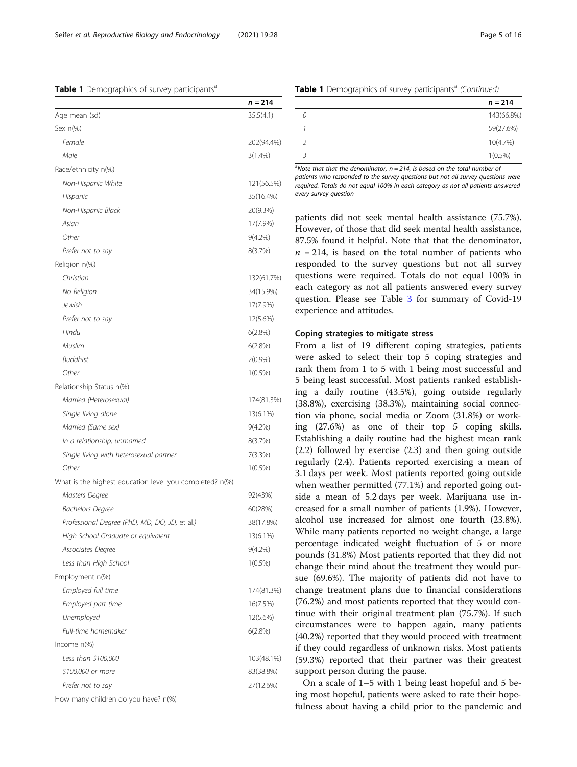<span id="page-4-0"></span>Table 1 Demographics of survey participants<sup>a</sup>

|                                                         | $n = 214$  |
|---------------------------------------------------------|------------|
| Age mean (sd)                                           | 35.5(4.1)  |
| Sex $n(\%)$                                             |            |
| Female                                                  | 202(94.4%) |
| Male                                                    | $3(1.4\%)$ |
| Race/ethnicity n(%)                                     |            |
| Non-Hispanic White                                      | 121(56.5%) |
| Hispanic                                                | 35(16.4%)  |
| Non-Hispanic Black                                      | 20(9.3%)   |
| Asian                                                   | 17(7.9%)   |
| Other                                                   | $9(4.2\%)$ |
| Prefer not to say                                       | 8(3.7%)    |
| Religion n(%)                                           |            |
| Christian                                               | 132(61.7%) |
| No Religion                                             | 34(15.9%)  |
| Jewish                                                  | 17(7.9%)   |
| Prefer not to say                                       | 12(5.6%)   |
| Hindu                                                   | 6(2.8%)    |
| Muslim                                                  | 6(2.8%)    |
| <b>Buddhist</b>                                         | $2(0.9\%)$ |
| Other                                                   | $1(0.5\%)$ |
| Relationship Status n(%)                                |            |
| Married (Heterosexual)                                  | 174(81.3%) |
| Single living alone                                     | 13(6.1%)   |
| Married (Same sex)                                      | $9(4.2\%)$ |
| In a relationship, unmarried                            | 8(3.7%)    |
| Single living with heterosexual partner                 | 7(3.3%)    |
| Other                                                   | $1(0.5\%)$ |
| What is the highest education level you completed? n(%) |            |
| Masters Degree                                          | 92(43%)    |
| <b>Bachelors Degree</b>                                 | 60(28%)    |
| Professional Degree (PhD, MD, DO, JD, et al.)           | 38(17.8%)  |
| High School Graduate or equivalent                      | 13(6.1%)   |
| Associates Degree                                       | $9(4.2\%)$ |
| Less than High School                                   | $1(0.5\%)$ |
| Employment n(%)                                         |            |
| Employed full time                                      | 174(81.3%) |
| Employed part time                                      | 16(7.5%)   |
| Unemployed                                              | 12(5.6%)   |
| Full-time homemaker                                     | 6(2.8%)    |
| Income n(%)                                             |            |
| Less than \$100,000                                     | 103(48.1%) |
| \$100,000 or more                                       | 83(38.8%)  |
| Prefer not to say                                       | 27(12.6%)  |
| How many children do you have? n(%)                     |            |

|  |  |  |  | Table 1 Demographics of survey participants <sup>a</sup> (Continued) |  |
|--|--|--|--|----------------------------------------------------------------------|--|
|--|--|--|--|----------------------------------------------------------------------|--|

|                | $n = 214$  |
|----------------|------------|
|                | 143(66.8%) |
|                | 59(27.6%)  |
| $\mathcal{P}$  | 10(4.7%)   |
| $\overline{3}$ | $1(0.5\%)$ |
|                |            |

<sup>a</sup>Note that that the denominator,  $n = 214$ , is based on the total number of patients who responded to the survey questions but not all survey questions were required. Totals do not equal 100% in each category as not all patients answered every survey question

patients did not seek mental health assistance (75.7%). However, of those that did seek mental health assistance, 87.5% found it helpful. Note that that the denominator,  $n = 214$ , is based on the total number of patients who responded to the survey questions but not all survey questions were required. Totals do not equal 100% in each category as not all patients answered every survey question. Please see Table [3](#page-8-0) for summary of Covid-19 experience and attitudes.

## Coping strategies to mitigate stress

From a list of 19 different coping strategies, patients were asked to select their top 5 coping strategies and rank them from 1 to 5 with 1 being most successful and 5 being least successful. Most patients ranked establishing a daily routine (43.5%), going outside regularly (38.8%), exercising (38.3%), maintaining social connection via phone, social media or Zoom (31.8%) or working (27.6%) as one of their top 5 coping skills. Establishing a daily routine had the highest mean rank (2.2) followed by exercise (2.3) and then going outside regularly (2.4). Patients reported exercising a mean of 3.1 days per week. Most patients reported going outside when weather permitted (77.1%) and reported going outside a mean of 5.2 days per week. Marijuana use increased for a small number of patients (1.9%). However, alcohol use increased for almost one fourth (23.8%). While many patients reported no weight change, a large percentage indicated weight fluctuation of 5 or more pounds (31.8%) Most patients reported that they did not change their mind about the treatment they would pursue (69.6%). The majority of patients did not have to change treatment plans due to financial considerations (76.2%) and most patients reported that they would continue with their original treatment plan (75.7%). If such circumstances were to happen again, many patients (40.2%) reported that they would proceed with treatment if they could regardless of unknown risks. Most patients (59.3%) reported that their partner was their greatest support person during the pause.

On a scale of 1–5 with 1 being least hopeful and 5 being most hopeful, patients were asked to rate their hopefulness about having a child prior to the pandemic and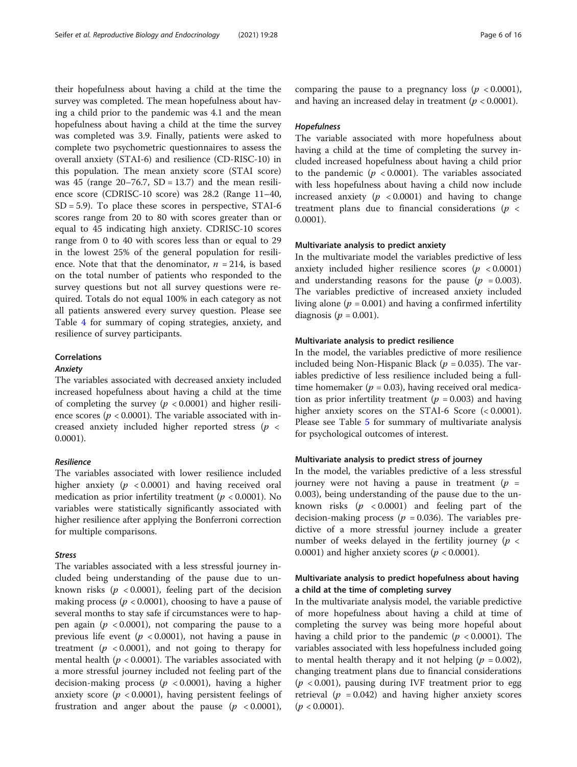their hopefulness about having a child at the time the survey was completed. The mean hopefulness about having a child prior to the pandemic was 4.1 and the mean hopefulness about having a child at the time the survey was completed was 3.9. Finally, patients were asked to complete two psychometric questionnaires to assess the overall anxiety (STAI-6) and resilience (CD-RISC-10) in this population. The mean anxiety score (STAI score) was 45 (range  $20-76.7$ , SD = 13.7) and the mean resilience score (CDRISC-10 score) was 28.2 (Range 11–40,  $SD = 5.9$ ). To place these scores in perspective, STAI-6 scores range from 20 to 80 with scores greater than or equal to 45 indicating high anxiety. CDRISC-10 scores range from 0 to 40 with scores less than or equal to 29 in the lowest 25% of the general population for resilience. Note that that the denominator,  $n = 214$ , is based on the total number of patients who responded to the survey questions but not all survey questions were required. Totals do not equal 100% in each category as not all patients answered every survey question. Please see Table [4](#page-10-0) for summary of coping strategies, anxiety, and resilience of survey participants.

## Correlations

## Anxiety

The variables associated with decreased anxiety included increased hopefulness about having a child at the time of completing the survey ( $p < 0.0001$ ) and higher resilience scores ( $p < 0.0001$ ). The variable associated with increased anxiety included higher reported stress ( $p \leq$ 0.0001).

# Resilience

The variables associated with lower resilience included higher anxiety ( $p < 0.0001$ ) and having received oral medication as prior infertility treatment ( $p < 0.0001$ ). No variables were statistically significantly associated with higher resilience after applying the Bonferroni correction for multiple comparisons.

# Stress

The variables associated with a less stressful journey included being understanding of the pause due to unknown risks ( $p < 0.0001$ ), feeling part of the decision making process ( $p < 0.0001$ ), choosing to have a pause of several months to stay safe if circumstances were to happen again ( $p < 0.0001$ ), not comparing the pause to a previous life event ( $p < 0.0001$ ), not having a pause in treatment ( $p < 0.0001$ ), and not going to therapy for mental health ( $p < 0.0001$ ). The variables associated with a more stressful journey included not feeling part of the decision-making process ( $p < 0.0001$ ), having a higher anxiety score ( $p < 0.0001$ ), having persistent feelings of frustration and anger about the pause ( $p < 0.0001$ ),

comparing the pause to a pregnancy loss ( $p < 0.0001$ ), and having an increased delay in treatment ( $p < 0.0001$ ).

# Hopefulness

The variable associated with more hopefulness about having a child at the time of completing the survey included increased hopefulness about having a child prior to the pandemic ( $p < 0.0001$ ). The variables associated with less hopefulness about having a child now include increased anxiety ( $p < 0.0001$ ) and having to change treatment plans due to financial considerations ( $p <$ 0.0001).

## Multivariate analysis to predict anxiety

In the multivariate model the variables predictive of less anxiety included higher resilience scores  $(p < 0.0001)$ and understanding reasons for the pause ( $p = 0.003$ ). The variables predictive of increased anxiety included living alone ( $p = 0.001$ ) and having a confirmed infertility diagnosis ( $p = 0.001$ ).

## Multivariate analysis to predict resilience

In the model, the variables predictive of more resilience included being Non-Hispanic Black ( $p = 0.035$ ). The variables predictive of less resilience included being a fulltime homemaker ( $p = 0.03$ ), having received oral medication as prior infertility treatment ( $p = 0.003$ ) and having higher anxiety scores on the STAI-6 Score (< 0.0001). Please see Table [5](#page-12-0) for summary of multivariate analysis for psychological outcomes of interest.

# Multivariate analysis to predict stress of journey

In the model, the variables predictive of a less stressful journey were not having a pause in treatment  $(p =$ 0.003), being understanding of the pause due to the unknown risks  $(p \lt 0.0001)$  and feeling part of the decision-making process ( $p = 0.036$ ). The variables predictive of a more stressful journey include a greater number of weeks delayed in the fertility journey ( $p <$ 0.0001) and higher anxiety scores ( $p < 0.0001$ ).

# Multivariate analysis to predict hopefulness about having a child at the time of completing survey

In the multivariate analysis model, the variable predictive of more hopefulness about having a child at time of completing the survey was being more hopeful about having a child prior to the pandemic ( $p < 0.0001$ ). The variables associated with less hopefulness included going to mental health therapy and it not helping ( $p = 0.002$ ), changing treatment plans due to financial considerations  $(p < 0.001)$ , pausing during IVF treatment prior to egg retrieval ( $p = 0.042$ ) and having higher anxiety scores  $(p < 0.0001)$ .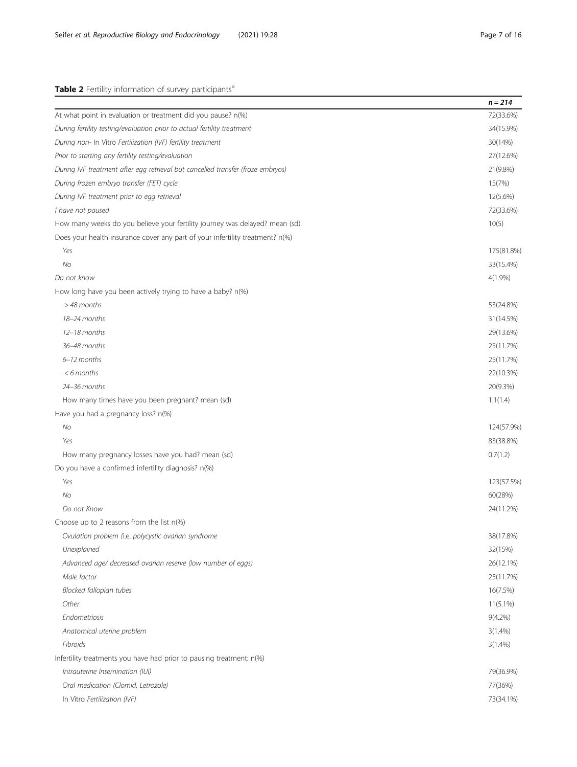<span id="page-6-0"></span>

|                                                                                 | $n = 214$  |
|---------------------------------------------------------------------------------|------------|
| At what point in evaluation or treatment did you pause? n(%)                    | 72(33.6%)  |
| During fertility testing/evaluation prior to actual fertility treatment         | 34(15.9%)  |
| During non- In Vitro Fertilization (IVF) fertility treatment                    | 30(14%)    |
| Prior to starting any fertility testing/evaluation                              | 27(12.6%)  |
| During IVF treatment after egg retrieval but cancelled transfer (froze embryos) | 21(9.8%)   |
| During frozen embryo transfer (FET) cycle                                       | 15(7%)     |
| During IVF treatment prior to egg retrieval                                     | 12(5.6%)   |
| I have not paused                                                               | 72(33.6%)  |
| How many weeks do you believe your fertility journey was delayed? mean (sd)     | 10(5)      |
| Does your health insurance cover any part of your infertility treatment? n(%)   |            |
| Yes                                                                             | 175(81.8%) |
| No.                                                                             | 33(15.4%)  |
| Do not know                                                                     | $4(1.9\%)$ |
| How long have you been actively trying to have a baby? n(%)                     |            |
| $>48$ months                                                                    | 53(24.8%)  |
| $18 - 24$ months                                                                | 31(14.5%)  |
| $12 - 18$ months                                                                | 29(13.6%)  |
| 36-48 months                                                                    | 25(11.7%)  |
| $6 - 12$ months                                                                 | 25(11.7%)  |
| $< 6$ months                                                                    | 22(10.3%)  |
| 24-36 months                                                                    | 20(9.3%)   |
| How many times have you been pregnant? mean (sd)                                | 1.1(1.4)   |
| Have you had a pregnancy loss? n(%)                                             |            |
| <b>No</b>                                                                       | 124(57.9%) |
| Yes                                                                             | 83(38.8%)  |
| How many pregnancy losses have you had? mean (sd)                               | 0.7(1.2)   |
|                                                                                 |            |

| Do you have a confirmed infertility diagnosis? n(%)          |             |
|--------------------------------------------------------------|-------------|
| Yes                                                          | 123(57.5%)  |
| No                                                           | 60(28%)     |
| Do not Know                                                  | 24(11.2%)   |
| Choose up to 2 reasons from the list n(%)                    |             |
| Ovulation problem (i.e. polycystic ovarian syndrome          | 38(17.8%)   |
| Unexplained                                                  | 32(15%)     |
| Advanced age/ decreased ovarian reserve (low number of eggs) | 26(12.1%)   |
| Male factor                                                  | 25(11.7%)   |
| Blocked fallopian tubes                                      | 16(7.5%)    |
| Other                                                        | $11(5.1\%)$ |
|                                                              |             |

Fibroids 3(1.4%) Infertility treatments you have had prior to pausing treatment: n(%)

| Intrauterine Insemination (IUI)     | 79(36.9%) |
|-------------------------------------|-----------|
| Oral medication (Clomid, Letrozole) | 77(36%)   |
| In Vitro <i>Fertilization (IVF)</i> | 73(34.1%) |

Endometriosis 9(4.2%) Anatomical uterine problem  $3(1.4\%)$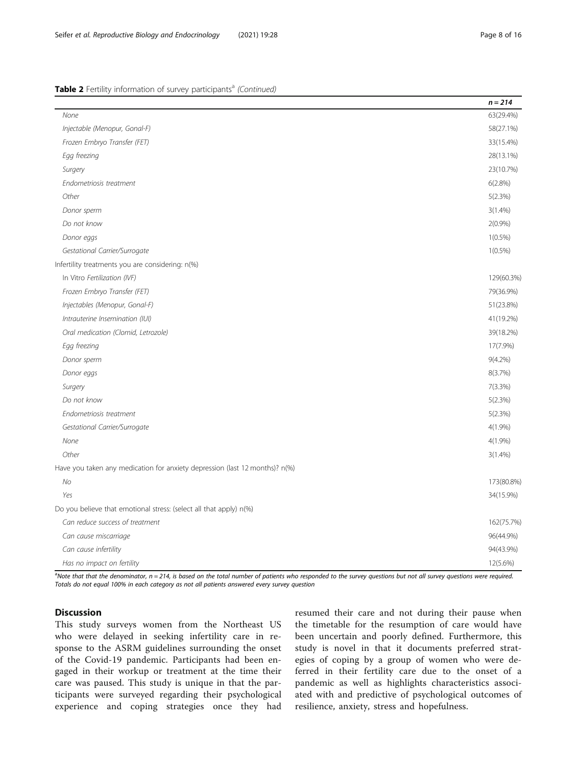# Table 2 Fertility information of survey participants<sup>a</sup> (Continued)

|                                                                             | $n = 214$  |
|-----------------------------------------------------------------------------|------------|
| None                                                                        | 63(29.4%)  |
| Injectable (Menopur, Gonal-F)                                               | 58(27.1%)  |
| Frozen Embryo Transfer (FET)                                                | 33(15.4%)  |
| Egg freezing                                                                | 28(13.1%)  |
| Surgery                                                                     | 23(10.7%)  |
| Endometriosis treatment                                                     | 6(2.8%)    |
| Other                                                                       | 5(2.3%)    |
| Donor sperm                                                                 | $3(1.4\%)$ |
| Do not know                                                                 | 2(0.9%     |
| Donor eggs                                                                  | $1(0.5\%)$ |
| Gestational Carrier/Surrogate                                               | $1(0.5\%)$ |
| Infertility treatments you are considering: n(%)                            |            |
| In Vitro Fertilization (IVF)                                                | 129(60.3%) |
| Frozen Embryo Transfer (FET)                                                | 79(36.9%)  |
| Injectables (Menopur, Gonal-F)                                              | 51(23.8%)  |
| Intrauterine Insemination (IUI)                                             | 41(19.2%)  |
| Oral medication (Clomid, Letrozole)                                         | 39(18.2%)  |
| Egg freezing                                                                | 17(7.9%)   |
| Donor sperm                                                                 | $9(4.2\%)$ |
| Donor eggs                                                                  | 8(3.7%)    |
| Surgery                                                                     | 7(3.3%)    |
| Do not know                                                                 | 5(2.3%)    |
| Endometriosis treatment                                                     | 5(2.3%)    |
| Gestational Carrier/Surrogate                                               | $4(1.9\%)$ |
| None                                                                        | $4(1.9\%)$ |
| Other                                                                       | $3(1.4\%)$ |
| Have you taken any medication for anxiety depression (last 12 months)? n(%) |            |
| No                                                                          | 173(80.8%) |
| Yes                                                                         | 34(15.9%)  |
| Do you believe that emotional stress: (select all that apply) n(%)          |            |
| Can reduce success of treatment                                             | 162(75.7%) |
| Can cause miscarriage                                                       | 96(44.9%)  |
| Can cause infertility                                                       | 94(43.9%)  |
| Has no impact on fertility                                                  | 12(5.6%)   |

a<br>Note that that the denominator, n = 214, is based on the total number of patients who responded to the survey questions but not all survey questions were required. Totals do not equal 100% in each category as not all patients answered every survey question

# **Discussion**

This study surveys women from the Northeast US who were delayed in seeking infertility care in response to the ASRM guidelines surrounding the onset of the Covid-19 pandemic. Participants had been engaged in their workup or treatment at the time their care was paused. This study is unique in that the participants were surveyed regarding their psychological experience and coping strategies once they had resumed their care and not during their pause when the timetable for the resumption of care would have been uncertain and poorly defined. Furthermore, this study is novel in that it documents preferred strategies of coping by a group of women who were deferred in their fertility care due to the onset of a pandemic as well as highlights characteristics associated with and predictive of psychological outcomes of resilience, anxiety, stress and hopefulness.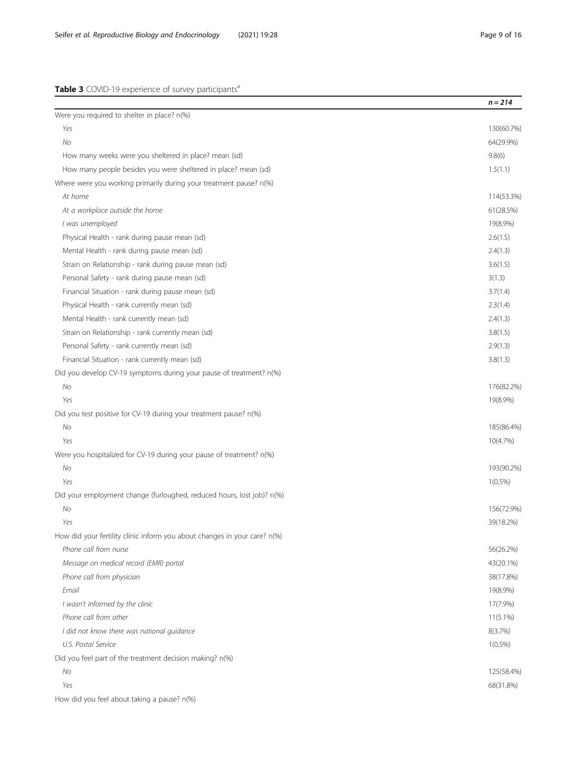# <span id="page-8-0"></span>Table 3 COVID-19 experience of survey participants<sup>a</sup>

|                                                                           | $n = 214$   |
|---------------------------------------------------------------------------|-------------|
| Were you required to shelter in place? n(%)                               |             |
| Yes                                                                       | 130(60.7%)  |
| No                                                                        | 64(29.9%)   |
| How many weeks were you sheltered in place? mean (sd)                     | 9.8(6)      |
| How many people besides you were sheltered in place? mean (sd)            | 1.5(1.1)    |
| Where were you working primarily during your treatment pause? n(%)        |             |
| At home                                                                   | 114(53.3%)  |
| At a workplace outside the home                                           | 61(28.5%)   |
| I was unemployed                                                          | 19(8.9%)    |
| Physical Health - rank during pause mean (sd)                             | 2.6(1.5)    |
| Mental Health - rank during pause mean (sd)                               | 2.4(1.3)    |
| Strain on Relationship - rank during pause mean (sd)                      | 3.6(1.5)    |
| Personal Safety - rank during pause mean (sd)                             | 3(1.3)      |
| Financial Situation - rank during pause mean (sd)                         | 3.7(1.4)    |
| Physical Health - rank currently mean (sd)                                | 2.3(1.4)    |
| Mental Health - rank currently mean (sd)                                  | 2.4(1.3)    |
| Strain on Relationship - rank currently mean (sd)                         | 3.8(1.5)    |
| Personal Safety - rank currently mean (sd)                                | 2.9(1.3)    |
| Financial Situation - rank currently mean (sd)                            | 3.8(1.3)    |
| Did you develop CV-19 symptoms during your pause of treatment? n(%)       |             |
| No                                                                        | 176(82.2%)  |
| Yes                                                                       | 19(8.9%)    |
| Did you test positive for CV-19 during your treatment pause? n(%)         |             |
| No                                                                        | 185(86.4%)  |
| Yes                                                                       | 10(4.7%)    |
| Were you hospitalized for CV-19 during your pause of treatment? n(%)      |             |
| No                                                                        | 193(90.2%)  |
| Yes                                                                       | $1(0.5\%)$  |
| Did your employment change (furloughed, reduced hours, lost job)? n(%)    |             |
| No                                                                        | 156(72.9%)  |
| Yes                                                                       | 39(18.2%)   |
| How did your fertility clinic inform you about changes in your care? n(%) |             |
| Phone call from nurse                                                     | 56(26.2%)   |
| Message on medical record (EMR) portal                                    | 43(20.1%)   |
| Phone call from physician                                                 | 38(17.8%)   |
| Email                                                                     | 19(8.9%)    |
| I wasn't informed by the clinic                                           | 17(7.9%)    |
| Phone call from other                                                     | $11(5.1\%)$ |
| I did not know there was national guidance                                | 8(3.7%)     |
| U.S. Postal Service                                                       | $1(0.5\%)$  |
| Did you feel part of the treatment decision making? n(%)                  |             |
| No                                                                        | 125(58.4%)  |
| Yes                                                                       | 68(31.8%)   |
| How did you feel about taking a pause? n(%)                               |             |
|                                                                           |             |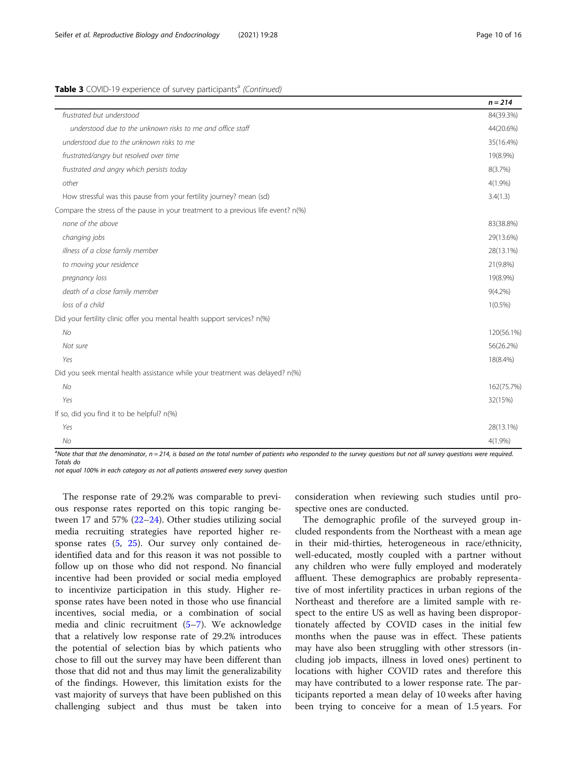# Table 3 COVID-19 experience of survey participants<sup>a</sup> (Continued)

|                                                                                  | $n = 214$  |
|----------------------------------------------------------------------------------|------------|
| frustrated but understood                                                        | 84(39.3%)  |
| understood due to the unknown risks to me and office staff                       | 44(20.6%)  |
| understood due to the unknown risks to me                                        | 35(16.4%)  |
| frustrated/angry but resolved over time                                          | 19(8.9%)   |
| frustrated and angry which persists today                                        | 8(3.7%)    |
| other                                                                            | $4(1.9\%)$ |
| How stressful was this pause from your fertility journey? mean (sd)              | 3.4(1.3)   |
| Compare the stress of the pause in your treatment to a previous life event? n(%) |            |
| none of the above                                                                | 83(38.8%)  |
| changing jobs                                                                    | 29(13.6%)  |
| illness of a close family member                                                 | 28(13.1%)  |
| to moving your residence                                                         | 21(9.8%)   |
| pregnancy loss                                                                   | 19(8.9%)   |
| death of a close family member                                                   | $9(4.2\%)$ |
| loss of a child                                                                  | $1(0.5\%)$ |
| Did your fertility clinic offer you mental health support services? n(%)         |            |
| No                                                                               | 120(56.1%) |
| Not sure                                                                         | 56(26.2%)  |
| Yes                                                                              | 18(8.4%)   |
| Did you seek mental health assistance while your treatment was delayed? n(%)     |            |
| <b>No</b>                                                                        | 162(75.7%) |
| Yes                                                                              | 32(15%)    |
| If so, did you find it to be helpful? n(%)                                       |            |
| Yes                                                                              | 28(13.1%)  |
| No                                                                               | $4(1.9\%)$ |

<sup>a</sup>Note that that the denominator, n = 214, is based on the total number of patients who responded to the survey questions but not all survey questions were required. Totals do

not equal 100% in each category as not all patients answered every survey question

The response rate of 29.2% was comparable to previous response rates reported on this topic ranging between 17 and 57% [\(22](#page-15-0)–[24](#page-15-0)). Other studies utilizing social media recruiting strategies have reported higher response rates ([5,](#page-14-0) [25\)](#page-15-0). Our survey only contained deidentified data and for this reason it was not possible to follow up on those who did not respond. No financial incentive had been provided or social media employed to incentivize participation in this study. Higher response rates have been noted in those who use financial incentives, social media, or a combination of social media and clinic recruitment ([5](#page-14-0)–[7\)](#page-14-0). We acknowledge that a relatively low response rate of 29.2% introduces the potential of selection bias by which patients who chose to fill out the survey may have been different than those that did not and thus may limit the generalizability of the findings. However, this limitation exists for the vast majority of surveys that have been published on this challenging subject and thus must be taken into consideration when reviewing such studies until prospective ones are conducted.

The demographic profile of the surveyed group included respondents from the Northeast with a mean age in their mid-thirties, heterogeneous in race/ethnicity, well-educated, mostly coupled with a partner without any children who were fully employed and moderately affluent. These demographics are probably representative of most infertility practices in urban regions of the Northeast and therefore are a limited sample with respect to the entire US as well as having been disproportionately affected by COVID cases in the initial few months when the pause was in effect. These patients may have also been struggling with other stressors (including job impacts, illness in loved ones) pertinent to locations with higher COVID rates and therefore this may have contributed to a lower response rate. The participants reported a mean delay of 10 weeks after having been trying to conceive for a mean of 1.5 years. For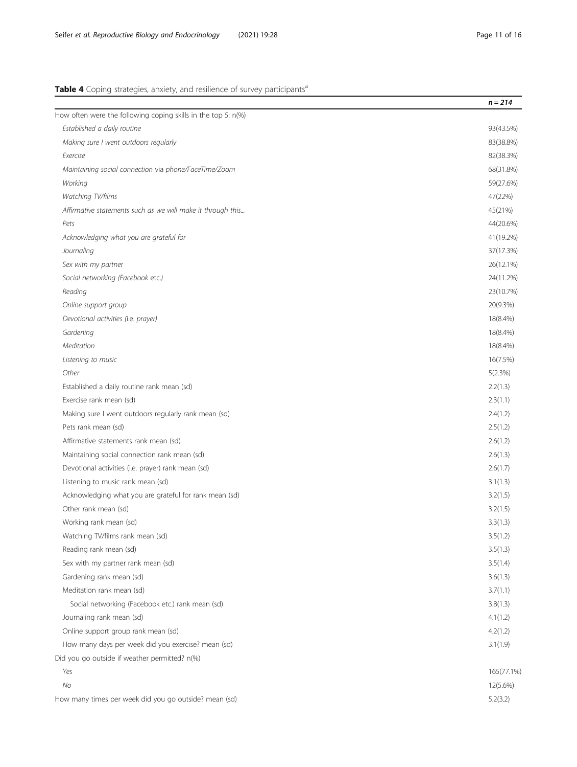# <span id="page-10-0"></span>Table 4 Coping strategies, anxiety, and resilience of survey participants<sup>a</sup>

|                                                               | $n = 214$  |
|---------------------------------------------------------------|------------|
| How often were the following coping skills in the top 5: n(%) |            |
| Established a daily routine                                   | 93(43.5%)  |
| Making sure I went outdoors regularly                         | 83(38.8%)  |
| Exercise                                                      | 82(38.3%)  |
| Maintaining social connection via phone/FaceTime/Zoom         | 68(31.8%)  |
| Working                                                       | 59(27.6%)  |
| Watching TV/films                                             | 47(22%)    |
| Affirmative statements such as we will make it through this   | 45(21%)    |
| Pets                                                          | 44(20.6%)  |
| Acknowledging what you are grateful for                       | 41(19.2%)  |
| Journaling                                                    | 37(17.3%)  |
| Sex with my partner                                           | 26(12.1%)  |
| Social networking (Facebook etc.)                             | 24(11.2%)  |
| Reading                                                       | 23(10.7%)  |
| Online support group                                          | 20(9.3%)   |
| Devotional activities (i.e. prayer)                           | 18(8.4%)   |
| Gardening                                                     | 18(8.4%)   |
| Meditation                                                    | 18(8.4%)   |
| Listening to music                                            | 16(7.5%)   |
| Other                                                         | 5(2.3%)    |
| Established a daily routine rank mean (sd)                    | 2.2(1.3)   |
| Exercise rank mean (sd)                                       | 2.3(1.1)   |
| Making sure I went outdoors regularly rank mean (sd)          | 2.4(1.2)   |
| Pets rank mean (sd)                                           | 2.5(1.2)   |
| Affirmative statements rank mean (sd)                         | 2.6(1.2)   |
| Maintaining social connection rank mean (sd)                  | 2.6(1.3)   |
| Devotional activities (i.e. prayer) rank mean (sd)            | 2.6(1.7)   |
| Listening to music rank mean (sd)                             | 3.1(1.3)   |
| Acknowledging what you are grateful for rank mean (sd)        | 3.2(1.5)   |
| Other rank mean (sd)                                          | 3.2(1.5)   |
| Working rank mean (sd)                                        | 3.3(1.3)   |
| Watching TV/films rank mean (sd)                              | 3.5(1.2)   |
| Reading rank mean (sd)                                        | 3.5(1.3)   |
| Sex with my partner rank mean (sd)                            | 3.5(1.4)   |
| Gardening rank mean (sd)                                      | 3.6(1.3)   |
| Meditation rank mean (sd)                                     | 3.7(1.1)   |
| Social networking (Facebook etc.) rank mean (sd)              | 3.8(1.3)   |
| Journaling rank mean (sd)                                     | 4.1(1.2)   |
| Online support group rank mean (sd)                           | 4.2(1.2)   |
| How many days per week did you exercise? mean (sd)            | 3.1(1.9)   |
| Did you go outside if weather permitted? n(%)                 |            |
| Yes                                                           | 165(77.1%) |
| No                                                            | 12(5.6%)   |
| How many times per week did you go outside? mean (sd)         | 5.2(3.2)   |
|                                                               |            |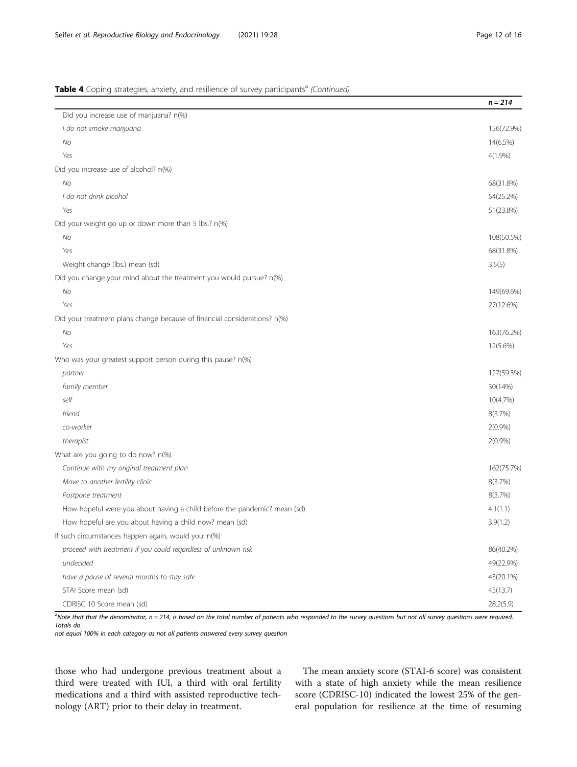# Table 4 Coping strategies, anxiety, and resilience of survey participants<sup>a</sup> (Continued)

|                                                                           | $n = 214$  |
|---------------------------------------------------------------------------|------------|
| Did you increase use of marijuana? n(%)                                   |            |
| I do not smoke marijuana                                                  | 156(72.9%) |
| No                                                                        | 14(6.5%)   |
| Yes                                                                       | $4(1.9\%)$ |
| Did you increase use of alcohol? n(%)                                     |            |
| No                                                                        | 68(31.8%)  |
| I do not drink alcohol                                                    | 54(25.2%)  |
| Yes                                                                       | 51(23.8%)  |
| Did your weight go up or down more than 5 lbs.? n(%)                      |            |
| No                                                                        | 108(50.5%) |
| Yes                                                                       | 68(31.8%)  |
| Weight change (lbs.) mean (sd)                                            | 3.5(5)     |
| Did you change your mind about the treatment you would pursue? n(%)       |            |
| No                                                                        | 149(69.6%) |
| Yes                                                                       | 27(12.6%)  |
| Did your treatment plans change because of financial considerations? n(%) |            |
| No                                                                        | 163(76.2%) |
| Yes                                                                       | 12(5.6%)   |
| Who was your greatest support person during this pause? n(%)              |            |
| partner                                                                   | 127(59.3%) |
| family member                                                             | 30(14%)    |
| self                                                                      | 10(4.7%)   |
| friend                                                                    | 8(3.7%)    |
| co-worker                                                                 | 2(0.9%)    |
| therapist                                                                 | 2(0.9%     |
| What are you going to do now? n(%)                                        |            |
| Continue with my original treatment plan                                  | 162(75.7%) |
| Move to another fertility clinic                                          | 8(3.7%)    |
| Postpone treatment                                                        | 8(3.7%)    |
| How hopeful were you about having a child before the pandemic? mean (sd)  | 4.1(1.1)   |
| How hopeful are you about having a child now? mean (sd)                   | 3.9(1.2)   |
| If such circumstances happen again, would you: n(%)                       |            |
| proceed with treatment if you could regardless of unknown risk            | 86(40.2%)  |
| undecided                                                                 | 49(22.9%)  |
| have a pause of several months to stay safe                               | 43(20.1%)  |
| STAI Score mean (sd)                                                      | 45(13.7)   |
| CDRISC 10 Score mean (sd)                                                 | 28.2(5.9)  |

a<br>Note that that the denominator, n = 214, is based on the total number of patients who responded to the survey questions but not all survey questions were required. Totals do

not equal 100% in each category as not all patients answered every survey question

those who had undergone previous treatment about a third were treated with IUI, a third with oral fertility medications and a third with assisted reproductive technology (ART) prior to their delay in treatment.

The mean anxiety score (STAI-6 score) was consistent with a state of high anxiety while the mean resilience score (CDRISC-10) indicated the lowest 25% of the general population for resilience at the time of resuming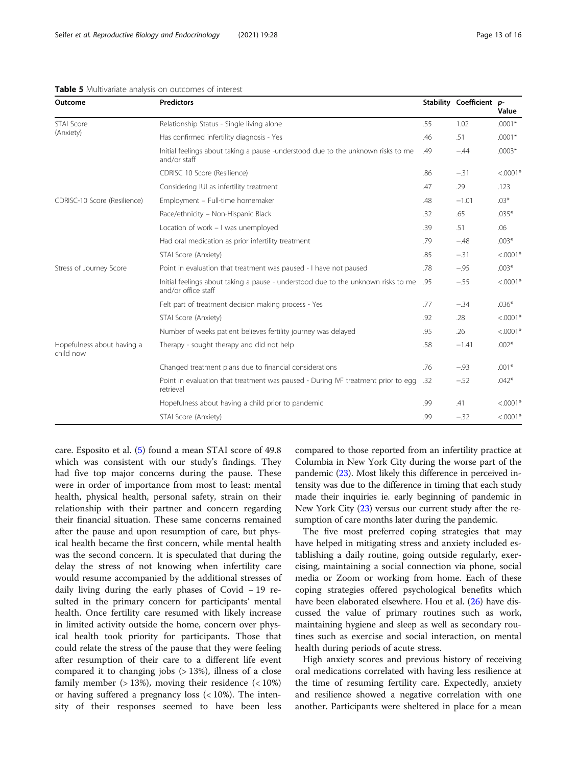| Outcome                                                                                                  | <b>Predictors</b>                                                                                |        | Stability Coefficient p- | Value       |
|----------------------------------------------------------------------------------------------------------|--------------------------------------------------------------------------------------------------|--------|--------------------------|-------------|
| STAI Score<br>(Anxiety)                                                                                  | Relationship Status - Single living alone                                                        | .55    | 1.02                     | $.0001*$    |
|                                                                                                          | Has confirmed infertility diagnosis - Yes                                                        | .46    | .51                      | $.0001*$    |
|                                                                                                          | Initial feelings about taking a pause -understood due to the unknown risks to me<br>and/or staff | .49    | $-.44$                   | $.0003*$    |
|                                                                                                          | CDRISC 10 Score (Resilience)                                                                     | .86    | $-.31$                   | $< 0.0001*$ |
|                                                                                                          | Considering IUI as infertility treatment                                                         | .47    | .29                      | .123        |
| CDRISC-10 Score (Resilience)                                                                             | Employment - Full-time homemaker                                                                 | .48    | $-1.01$                  | $.03*$      |
|                                                                                                          | Race/ethnicity - Non-Hispanic Black                                                              | .32    | .65                      | $.035*$     |
|                                                                                                          | Location of work - I was unemployed                                                              | .39    | .51                      | .06         |
|                                                                                                          | Had oral medication as prior infertility treatment                                               | .79    | $-.48$                   | $.003*$     |
|                                                                                                          | STAI Score (Anxiety)                                                                             | .85    | $-.31$                   | $< .0001*$  |
| Stress of Journey Score                                                                                  | Point in evaluation that treatment was paused - I have not paused                                | .78    | $-.95$                   | $.003*$     |
| Initial feelings about taking a pause - understood due to the unknown risks to me<br>and/or office staff | .95                                                                                              | $-.55$ | $< 0.0001*$              |             |
|                                                                                                          | Felt part of treatment decision making process - Yes                                             | .77    | $-.34$                   | $.036*$     |
|                                                                                                          | STAI Score (Anxiety)                                                                             | .92    | .28                      | $< 0.001*$  |
|                                                                                                          | Number of weeks patient believes fertility journey was delayed                                   | .95    | .26                      | $< .0001*$  |
| Hopefulness about having a<br>child now                                                                  | Therapy - sought therapy and did not help                                                        | .58    | $-1.41$                  | $.002*$     |
|                                                                                                          | Changed treatment plans due to financial considerations                                          | .76    | $-.93$                   | $.001*$     |
|                                                                                                          | Point in evaluation that treatment was paused - During IVF treatment prior to egg<br>retrieval   | .32    | $-.52$                   | $.042*$     |
|                                                                                                          | Hopefulness about having a child prior to pandemic                                               | .99    | .41                      | $< .0001*$  |
|                                                                                                          | STAI Score (Anxiety)                                                                             | .99    | $-.32$                   | $< .0001*$  |

<span id="page-12-0"></span>Table 5 Multivariate analysis on outcomes of interest

care. Esposito et al. [\(5](#page-14-0)) found a mean STAI score of 49.8 which was consistent with our study's findings. They had five top major concerns during the pause. These were in order of importance from most to least: mental health, physical health, personal safety, strain on their relationship with their partner and concern regarding their financial situation. These same concerns remained after the pause and upon resumption of care, but physical health became the first concern, while mental health was the second concern. It is speculated that during the delay the stress of not knowing when infertility care would resume accompanied by the additional stresses of daily living during the early phases of Covid − 19 resulted in the primary concern for participants' mental health. Once fertility care resumed with likely increase in limited activity outside the home, concern over physical health took priority for participants. Those that could relate the stress of the pause that they were feeling after resumption of their care to a different life event compared it to changing jobs  $($ > 13%), illness of a close family member  $($ > 13%), moving their residence  $($  < 10%) or having suffered a pregnancy loss (< 10%). The intensity of their responses seemed to have been less compared to those reported from an infertility practice at Columbia in New York City during the worse part of the pandemic [\(23\)](#page-15-0). Most likely this difference in perceived intensity was due to the difference in timing that each study made their inquiries ie. early beginning of pandemic in New York City ([23](#page-15-0)) versus our current study after the resumption of care months later during the pandemic.

The five most preferred coping strategies that may have helped in mitigating stress and anxiety included establishing a daily routine, going outside regularly, exercising, maintaining a social connection via phone, social media or Zoom or working from home. Each of these coping strategies offered psychological benefits which have been elaborated elsewhere. Hou et al. ([26\)](#page-15-0) have discussed the value of primary routines such as work, maintaining hygiene and sleep as well as secondary routines such as exercise and social interaction, on mental health during periods of acute stress.

High anxiety scores and previous history of receiving oral medications correlated with having less resilience at the time of resuming fertility care. Expectedly, anxiety and resilience showed a negative correlation with one another. Participants were sheltered in place for a mean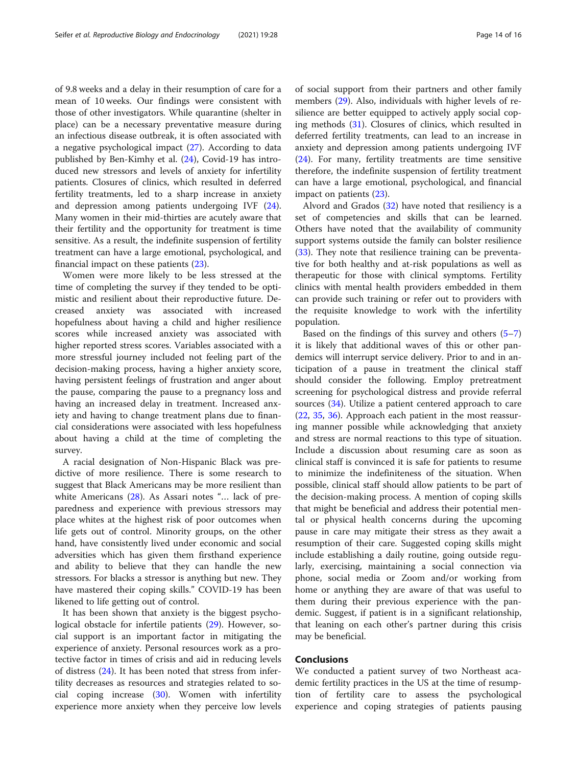of 9.8 weeks and a delay in their resumption of care for a mean of 10 weeks. Our findings were consistent with those of other investigators. While quarantine (shelter in place) can be a necessary preventative measure during an infectious disease outbreak, it is often associated with a negative psychological impact ([27\)](#page-15-0). According to data published by Ben-Kimhy et al. [\(24\)](#page-15-0), Covid-19 has introduced new stressors and levels of anxiety for infertility patients. Closures of clinics, which resulted in deferred fertility treatments, led to a sharp increase in anxiety and depression among patients undergoing IVF [\(24](#page-15-0)). Many women in their mid-thirties are acutely aware that their fertility and the opportunity for treatment is time sensitive. As a result, the indefinite suspension of fertility treatment can have a large emotional, psychological, and financial impact on these patients ([23\)](#page-15-0).

Women were more likely to be less stressed at the time of completing the survey if they tended to be optimistic and resilient about their reproductive future. Decreased anxiety was associated with increased hopefulness about having a child and higher resilience scores while increased anxiety was associated with higher reported stress scores. Variables associated with a more stressful journey included not feeling part of the decision-making process, having a higher anxiety score, having persistent feelings of frustration and anger about the pause, comparing the pause to a pregnancy loss and having an increased delay in treatment. Increased anxiety and having to change treatment plans due to financial considerations were associated with less hopefulness about having a child at the time of completing the survey.

A racial designation of Non-Hispanic Black was predictive of more resilience. There is some research to suggest that Black Americans may be more resilient than white Americans ([28](#page-15-0)). As Assari notes "… lack of preparedness and experience with previous stressors may place whites at the highest risk of poor outcomes when life gets out of control. Minority groups, on the other hand, have consistently lived under economic and social adversities which has given them firsthand experience and ability to believe that they can handle the new stressors. For blacks a stressor is anything but new. They have mastered their coping skills." COVID-19 has been likened to life getting out of control.

It has been shown that anxiety is the biggest psychological obstacle for infertile patients ([29\)](#page-15-0). However, social support is an important factor in mitigating the experience of anxiety. Personal resources work as a protective factor in times of crisis and aid in reducing levels of distress ([24\)](#page-15-0). It has been noted that stress from infertility decreases as resources and strategies related to social coping increase ([30](#page-15-0)). Women with infertility experience more anxiety when they perceive low levels

of social support from their partners and other family members [\(29\)](#page-15-0). Also, individuals with higher levels of resilience are better equipped to actively apply social coping methods ([31](#page-15-0)). Closures of clinics, which resulted in deferred fertility treatments, can lead to an increase in anxiety and depression among patients undergoing IVF ([24\)](#page-15-0). For many, fertility treatments are time sensitive therefore, the indefinite suspension of fertility treatment can have a large emotional, psychological, and financial impact on patients [\(23](#page-15-0)).

Alvord and Grados [\(32](#page-15-0)) have noted that resiliency is a set of competencies and skills that can be learned. Others have noted that the availability of community support systems outside the family can bolster resilience ([33\)](#page-15-0). They note that resilience training can be preventative for both healthy and at-risk populations as well as therapeutic for those with clinical symptoms. Fertility clinics with mental health providers embedded in them can provide such training or refer out to providers with the requisite knowledge to work with the infertility population.

Based on the findings of this survey and others  $(5-7)$  $(5-7)$  $(5-7)$  $(5-7)$  $(5-7)$ it is likely that additional waves of this or other pandemics will interrupt service delivery. Prior to and in anticipation of a pause in treatment the clinical staff should consider the following. Employ pretreatment screening for psychological distress and provide referral sources ([34\)](#page-15-0). Utilize a patient centered approach to care ([22,](#page-15-0) [35](#page-15-0), [36](#page-15-0)). Approach each patient in the most reassuring manner possible while acknowledging that anxiety and stress are normal reactions to this type of situation. Include a discussion about resuming care as soon as clinical staff is convinced it is safe for patients to resume to minimize the indefiniteness of the situation. When possible, clinical staff should allow patients to be part of the decision-making process. A mention of coping skills that might be beneficial and address their potential mental or physical health concerns during the upcoming pause in care may mitigate their stress as they await a resumption of their care. Suggested coping skills might include establishing a daily routine, going outside regularly, exercising, maintaining a social connection via phone, social media or Zoom and/or working from home or anything they are aware of that was useful to them during their previous experience with the pandemic. Suggest, if patient is in a significant relationship, that leaning on each other's partner during this crisis may be beneficial.

# **Conclusions**

We conducted a patient survey of two Northeast academic fertility practices in the US at the time of resumption of fertility care to assess the psychological experience and coping strategies of patients pausing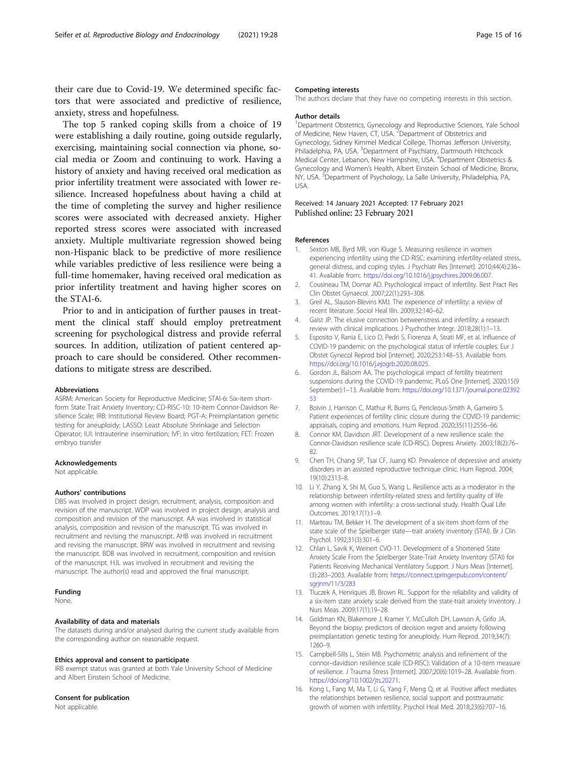<span id="page-14-0"></span>their care due to Covid-19. We determined specific factors that were associated and predictive of resilience, anxiety, stress and hopefulness.

The top 5 ranked coping skills from a choice of 19 were establishing a daily routine, going outside regularly, exercising, maintaining social connection via phone, social media or Zoom and continuing to work. Having a history of anxiety and having received oral medication as prior infertility treatment were associated with lower resilience. Increased hopefulness about having a child at the time of completing the survey and higher resilience scores were associated with decreased anxiety. Higher reported stress scores were associated with increased anxiety. Multiple multivariate regression showed being non-Hispanic black to be predictive of more resilience while variables predictive of less resilience were being a full-time homemaker, having received oral medication as prior infertility treatment and having higher scores on the STAI-6.

Prior to and in anticipation of further pauses in treatment the clinical staff should employ pretreatment screening for psychological distress and provide referral sources. In addition, utilization of patient centered approach to care should be considered. Other recommendations to mitigate stress are described.

#### Abbreviations

ASRM: American Society for Reproductive Medicine; STAl-6: Six-item shortform State Trait Anxiety Inventory; CD-RISC-10: 10-item Connor-Davidson Resilience Scale; IRB: Institutional Review Board; PGT-A: Preimplantation genetic testing for aneuploidy; LASSO: Least Absolute Shrinkage and Selection Operator; IUI: Intrauterine insemination; IVF: In vitro fertilization; FET: Frozen embryo transfer

## Acknowledgements

Not applicable.

#### Authors' contributions

DBS was involved in project design, recruitment, analysis, composition and revision of the manuscript. WDP was involved in project design, analysis and composition and revision of the manuscript. AA was involved in statistical analysis, composition and revision of the manuscript. TG was involved in recruitment and revising the manuscript. AHB was involved in recruitment and revising the manuscript. BRW was involved in recruitment and revising the manuscript. BDB was involved in recruitment, composition and revision of the manuscript. HJL was involved in recruitment and revising the manuscript. The author(s) read and approved the final manuscript.

# Funding

None.

## Availability of data and materials

The datasets during and/or analysed during the current study available from the corresponding author on reasonable request.

#### Ethics approval and consent to participate

IRB exempt status was granted at both Yale University School of Medicine and Albert Einstein School of Medicine.

# Consent for publication

Not applicable.

## Competing interests

The authors declare that they have no competing interests in this section.

## Author details

<sup>1</sup>Department Obstetrics, Gynecology and Reproductive Sciences, Yale School of Medicine, New Haven, CT, USA. <sup>2</sup> Department of Obstetrics and Gynecology, Sidney Kimmel Medical College, Thomas Jefferson University, Philadelphia, PA, USA. <sup>3</sup>Department of Psychiatry, Dartmouth Hitchcock Medical Center, Lebanon, New Hampshire, USA. <sup>4</sup>Department Obstetrics & Gynecology and Women's Health, Albert Einstein School of Medicine, Bronx, NY, USA. <sup>5</sup> Department of Psychology, La Salle University, Philadelphia, PA USA.

## Received: 14 January 2021 Accepted: 17 February 2021 Published online: 23 February 2021

#### References

- 1. Sexton MB, Byrd MR, von Kluge S. Measuring resilience in women experiencing infertility using the CD-RISC: examining infertility-related stress, general distress, and coping styles. J Psychiatr Res [Internet]. 2010;44(4):236– 41. Available from:. <https://doi.org/10.1016/j.jpsychires.2009.06.007>.
- 2. Cousineau TM, Domar AD. Psychological impact of infertility. Best Pract Res Clin Obstet Gynaecol. 2007;22(1):293–308.
- 3. Greil AL, Slauson-Blevins KMJ. The experience of infertility: a review of recent literature. Sociol Heal Illn. 2009;32:140–62.
- 4. Galst JP. The elusive connection betweenstress and infertility: a research review with clinical implications. J Psychother Integr. 2018;28(1):1–13.
- 5. Esposito V, Rania E, Lico D, Pedri S, Fiorenza A, Strati MF, et al. Influence of COVID-19 pandemic on the psychological status of infertile couples. Eur J Obstet Gynecol Reprod biol [internet]. 2020;253:148–53. Available from. <https://doi.org/10.1016/j.ejogrb.2020.08.025>.
- 6. Gordon JL, Balsom AA. The psychological impact of fertility treatment suspensions during the COVID-19 pandemic. PLoS One [Internet]. 2020;15(9 September):1–13. Available from: [https://doi.org/10.1371/journal.pone.02392](https://doi.org/10.1371/journal.pone.0239253) [53](https://doi.org/10.1371/journal.pone.0239253)
- 7. Boivin J, Harrison C, Mathur R, Burns G, Pericleous-Smith A, Gameiro S. Patient experiences of fertility clinic closure during the COVID-19 pandemic: appraisals, coping and emotions. Hum Reprod. 2020;35(11):2556–66.
- Connor KM, Davidson JRT. Development of a new resilience scale: the Connor-Davidson resilience scale (CD-RISC). Depress Anxiety. 2003;18(2):76– 82.
- 9. Chen TH, Chang SP, Tsai CF, Juang KD. Prevalence of depressive and anxiety disorders in an assisted reproductive technique clinic. Hum Reprod. 2004; 19(10):2313–8.
- 10. Li Y, Zhang X, Shi M, Guo S, Wang L. Resilience acts as a moderator in the relationship between infertility-related stress and fertility quality of life among women with infertility: a cross-sectional study. Health Qual Life Outcomes. 2019;17(1):1–9.
- 11. Marteau TM, Bekker H. The development of a six-item short-form of the state scale of the Spielberger state—trait anxiety inventory (STAI). Br J Clin Psychol. 1992;31(3):301–6.
- 12. Chlan L, Savik K, Weinert CVO-11. Development of a Shortened State Anxiety Scale From the Spielberger State-Trait Anxiety Inventory (STAI) for Patients Receiving Mechanical Ventilatory Support. J Nurs Meas [Internet]. (3):283–2003. Available from: [https://connect.springerpub.com/content/](https://connect.springerpub.com/content/sgrjnm/11/3/283) [sgrjnm/11/3/283](https://connect.springerpub.com/content/sgrjnm/11/3/283)
- 13. Tluczek A, Henriques JB, Brown RL. Support for the reliability and validity of a six-item state anxiety scale derived from the state-trait anxiety inventory. J Nurs Meas. 2009;17(1):19–28.
- 14. Goldman KN, Blakemore J, Kramer Y, McCulloh DH, Lawson A, Grifo JA. Beyond the biopsy: predictors of decision regret and anxiety following preimplantation genetic testing for aneuploidy. Hum Reprod. 2019;34(7): 1260–9.
- 15. Campbell-Sills L, Stein MB. Psychometric analysis and refinement of the connor–davidson resilience scale (CD-RISC): Validation of a 10-item measure of resilience. J Trauma Stress [Internet]. 2007;20(6):1019–28. Available from. <https://doi.org/10.1002/jts.20271>.
- 16. Kong L, Fang M, Ma T, Li G, Yang F, Meng Q, et al. Positive affect mediates the relationships between resilience, social support and posttraumatic growth of women with infertility. Psychol Heal Med. 2018;23(6):707–16.